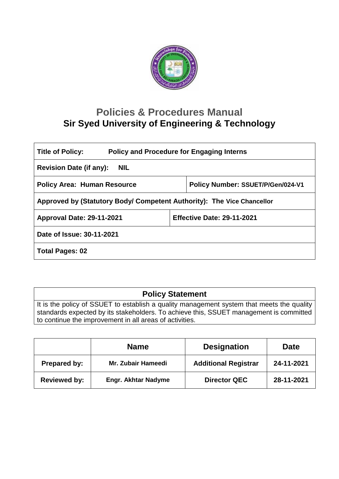

# **Policies & Procedures Manual Sir Syed University of Engineering & Technology**

| <b>Policy and Procedure for Engaging Interns</b><br><b>Title of Policy:</b> |  |                                   |  |  |
|-----------------------------------------------------------------------------|--|-----------------------------------|--|--|
| <b>Revision Date (if any):</b><br><b>NIL</b>                                |  |                                   |  |  |
| <b>Policy Area: Human Resource</b>                                          |  | Policy Number: SSUET/P/Gen/024-V1 |  |  |
| Approved by (Statutory Body/ Competent Authority): The Vice Chancellor      |  |                                   |  |  |
| Approval Date: 29-11-2021                                                   |  | <b>Effective Date: 29-11-2021</b> |  |  |
| Date of Issue: 30-11-2021                                                   |  |                                   |  |  |
| <b>Total Pages: 02</b>                                                      |  |                                   |  |  |

# **Policy Statement**

It is the policy of SSUET to establish a quality management system that meets the quality standards expected by its stakeholders. To achieve this, SSUET management is committed to continue the improvement in all areas of activities.

|                     | <b>Name</b>                | <b>Designation</b>          | Date       |
|---------------------|----------------------------|-----------------------------|------------|
| Prepared by:        | Mr. Zubair Hameedi         | <b>Additional Registrar</b> | 24-11-2021 |
| <b>Reviewed by:</b> | <b>Engr. Akhtar Nadyme</b> | <b>Director QEC</b>         | 28-11-2021 |